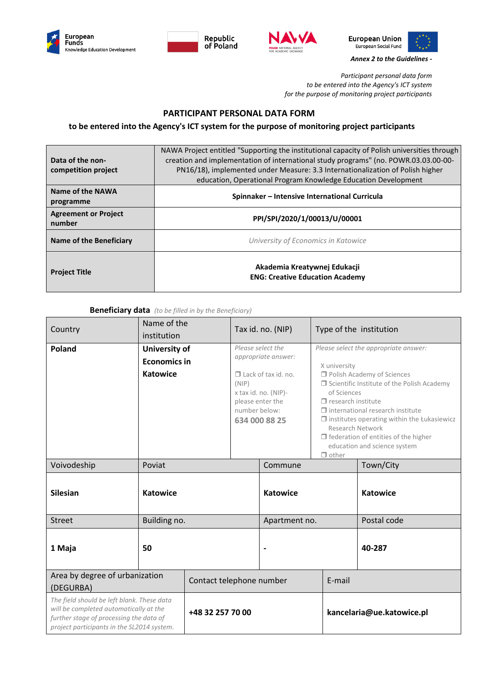







*Annex 2 to the Guidelines -*

*Participant personal data form to be entered into the Agency's ICT system for the purpose of monitoring project participants*

## **PARTICIPANT PERSONAL DATA FORM**

### **to be entered into the Agency's ICT system for the purpose of monitoring project participants**

| Data of the non-<br>competition project | NAWA Project entitled "Supporting the institutional capacity of Polish universities through<br>creation and implementation of international study programs" (no. POWR.03.03.00-00-<br>PN16/18), implemented under Measure: 3.3 Internationalization of Polish higher<br>education, Operational Program Knowledge Education Development |
|-----------------------------------------|----------------------------------------------------------------------------------------------------------------------------------------------------------------------------------------------------------------------------------------------------------------------------------------------------------------------------------------|
| Name of the NAWA<br>programme           | Spinnaker – Intensive International Curricula                                                                                                                                                                                                                                                                                          |
| <b>Agreement or Project</b><br>number   | PPI/SPI/2020/1/00013/U/00001                                                                                                                                                                                                                                                                                                           |
| Name of the Beneficiary                 | University of Economics in Katowice                                                                                                                                                                                                                                                                                                    |
| <b>Project Title</b>                    | Akademia Kreatywnej Edukacji<br><b>ENG: Creative Education Academy</b>                                                                                                                                                                                                                                                                 |

#### **Beneficiary data** *(to be filled in by the Beneficiary)*

| Country                                                                                                                                                                       | Name of the<br>institution                       |                  |                                            | Tax id. no. (NIP)                                                                                               |                                                                          | Type of the institution                                                                                                                                                                                                                                                                                                      |
|-------------------------------------------------------------------------------------------------------------------------------------------------------------------------------|--------------------------------------------------|------------------|--------------------------------------------|-----------------------------------------------------------------------------------------------------------------|--------------------------------------------------------------------------|------------------------------------------------------------------------------------------------------------------------------------------------------------------------------------------------------------------------------------------------------------------------------------------------------------------------------|
| <b>Poland</b>                                                                                                                                                                 | University of<br><b>Economics in</b><br>Katowice |                  | (NIP)<br>please enter the<br>number below: | Please select the<br>appropriate answer:<br>$\Box$ Lack of tax id. no.<br>x tax id. no. (NIP)-<br>634 000 88 25 | X university<br>of Sciences<br>$\Box$ research institute<br>$\Box$ other | Please select the appropriate answer:<br>Polish Academy of Sciences<br>$\Box$ Scientific Institute of the Polish Academy<br>$\Box$ international research institute<br>$\Box$ institutes operating within the Łukasiewicz<br>Research Network<br>$\Box$ federation of entities of the higher<br>education and science system |
| Voivodeship                                                                                                                                                                   | Poviat                                           |                  |                                            | Commune                                                                                                         |                                                                          | Town/City                                                                                                                                                                                                                                                                                                                    |
| <b>Silesian</b>                                                                                                                                                               | <b>Katowice</b>                                  |                  | <b>Katowice</b>                            |                                                                                                                 | <b>Katowice</b>                                                          |                                                                                                                                                                                                                                                                                                                              |
| <b>Street</b>                                                                                                                                                                 | Building no.                                     |                  | Apartment no.                              |                                                                                                                 | Postal code                                                              |                                                                                                                                                                                                                                                                                                                              |
| 1 Maja                                                                                                                                                                        | 50                                               |                  | $\blacksquare$                             |                                                                                                                 | 40-287                                                                   |                                                                                                                                                                                                                                                                                                                              |
| Area by degree of urbanization<br>(DEGURBA)                                                                                                                                   |                                                  |                  | Contact telephone number                   |                                                                                                                 | E-mail                                                                   |                                                                                                                                                                                                                                                                                                                              |
| The field should be left blank. These data<br>will be completed automatically at the<br>further stage of processing the data of<br>project participants in the SL2014 system. |                                                  | +48 32 257 70 00 |                                            | kancelaria@ue.katowice.pl                                                                                       |                                                                          |                                                                                                                                                                                                                                                                                                                              |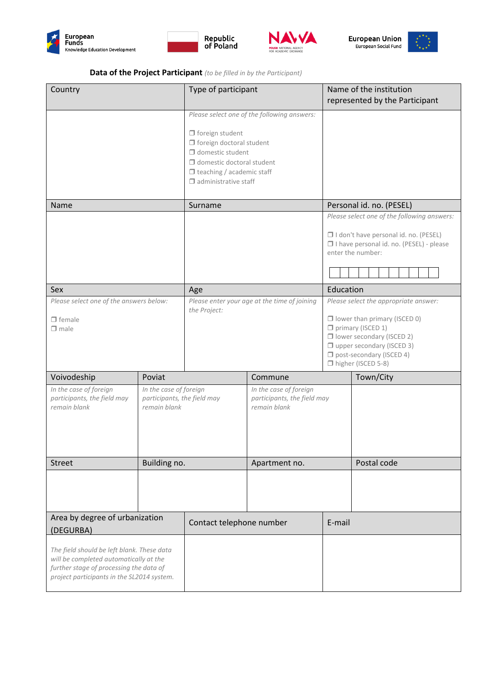







## **Data of the Project Participant** *(to be filled in by the Participant)*

| Country                                                                                                                                                                       |                                                                       | Type of participant                                                                                                                                                                         |                                                                       | Name of the institution<br>represented by the Participant                                                                                                 |                                                                                                                                                                                                                        |  |
|-------------------------------------------------------------------------------------------------------------------------------------------------------------------------------|-----------------------------------------------------------------------|---------------------------------------------------------------------------------------------------------------------------------------------------------------------------------------------|-----------------------------------------------------------------------|-----------------------------------------------------------------------------------------------------------------------------------------------------------|------------------------------------------------------------------------------------------------------------------------------------------------------------------------------------------------------------------------|--|
|                                                                                                                                                                               |                                                                       | $\Box$ foreign student<br>$\Box$ foreign doctoral student<br>$\Box$ domestic student<br>$\Box$ domestic doctoral student<br>$\Box$ teaching / academic staff<br>$\Box$ administrative staff | Please select one of the following answers:                           |                                                                                                                                                           |                                                                                                                                                                                                                        |  |
| Name                                                                                                                                                                          |                                                                       | Surname                                                                                                                                                                                     |                                                                       |                                                                                                                                                           | Personal id. no. (PESEL)                                                                                                                                                                                               |  |
|                                                                                                                                                                               |                                                                       |                                                                                                                                                                                             |                                                                       | Please select one of the following answers:<br>I I don't have personal id. no. (PESEL)<br>□ I have personal id. no. (PESEL) - please<br>enter the number: |                                                                                                                                                                                                                        |  |
| Sex                                                                                                                                                                           |                                                                       | Age                                                                                                                                                                                         |                                                                       | Education                                                                                                                                                 |                                                                                                                                                                                                                        |  |
| Please select one of the answers below:<br>$\Box$ female<br>$\Box$ male                                                                                                       |                                                                       | the Project:                                                                                                                                                                                | Please enter your age at the time of joining                          |                                                                                                                                                           | Please select the appropriate answer:<br>$\Box$ lower than primary (ISCED 0)<br>primary (ISCED 1)<br>□ lower secondary (ISCED 2)<br>$\Box$ upper secondary (ISCED 3)<br>post-secondary (ISCED 4)<br>higher (ISCED 5-8) |  |
| Voivodeship                                                                                                                                                                   | Poviat                                                                |                                                                                                                                                                                             | Commune                                                               |                                                                                                                                                           | Town/City                                                                                                                                                                                                              |  |
| In the case of foreign<br>participants, the field may<br>remain blank                                                                                                         | In the case of foreign<br>participants, the field may<br>remain blank |                                                                                                                                                                                             | In the case of foreign<br>participants, the field may<br>remain blank |                                                                                                                                                           |                                                                                                                                                                                                                        |  |
| <b>Street</b>                                                                                                                                                                 | Building no.                                                          |                                                                                                                                                                                             | Apartment no.                                                         |                                                                                                                                                           | Postal code                                                                                                                                                                                                            |  |
|                                                                                                                                                                               |                                                                       |                                                                                                                                                                                             |                                                                       |                                                                                                                                                           |                                                                                                                                                                                                                        |  |
| Area by degree of urbanization<br>(DEGURBA)                                                                                                                                   |                                                                       | Contact telephone number                                                                                                                                                                    |                                                                       | E-mail                                                                                                                                                    |                                                                                                                                                                                                                        |  |
| The field should be left blank. These data<br>will be completed automatically at the<br>further stage of processing the data of<br>project participants in the SL2014 system. |                                                                       |                                                                                                                                                                                             |                                                                       |                                                                                                                                                           |                                                                                                                                                                                                                        |  |